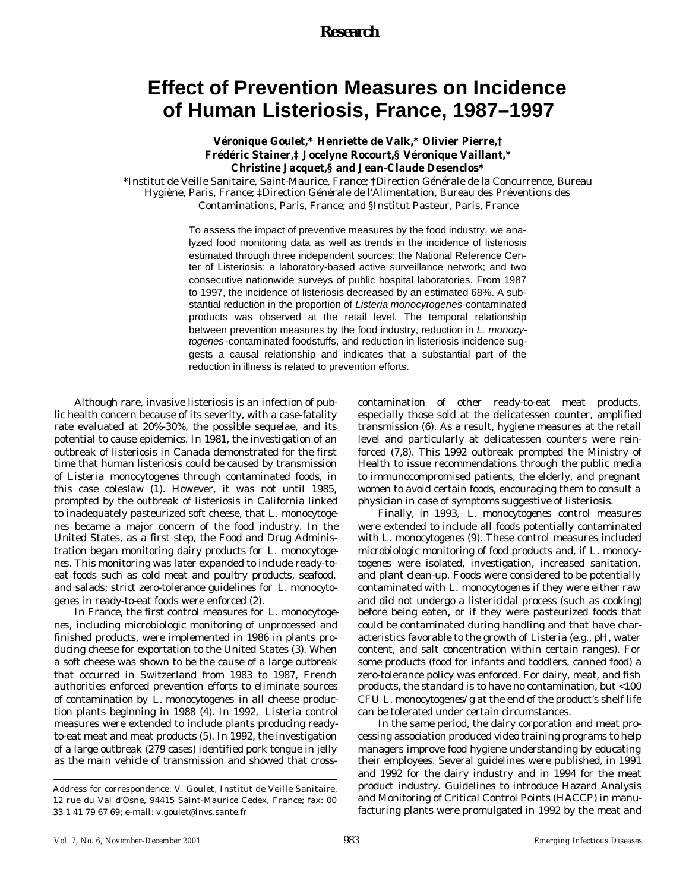# **Effect of Prevention Measures on Incidence of Human Listeriosis, France, 1987–1997**

# **Véronique Goulet,\* Henriette de Valk,\* Olivier Pierre,† Frédéric Stainer,‡ Jocelyne Rocourt,§ Véronique Vaillant,\* Christine Jacquet,§ and Jean-Claude Desenclos\***

\*Institut de Veille Sanitaire, Saint-Maurice, France; †Direction Générale de la Concurrence, Bureau Hygiène, Paris, France; ‡Direction Générale de l'Alimentation, Bureau des Préventions des Contaminations, Paris, France; and §Institut Pasteur, Paris, France

> To assess the impact of preventive measures by the food industry, we analyzed food monitoring data as well as trends in the incidence of listeriosis estimated through three independent sources: the National Reference Center of Listeriosis; a laboratory-based active surveillance network; and two consecutive nationwide surveys of public hospital laboratories. From 1987 to 1997, the incidence of listeriosis decreased by an estimated 68%. A substantial reduction in the proportion of *Listeria monocytogenes*-contaminated products was observed at the retail level. The temporal relationship between prevention measures by the food industry, reduction in *L. monocytogenes* -contaminated foodstuffs, and reduction in listeriosis incidence suggests a causal relationship and indicates that a substantial part of the reduction in illness is related to prevention efforts.

Although rare, invasive listeriosis is an infection of public health concern because of its severity, with a case-fatality rate evaluated at 20%-30%, the possible sequelae, and its potential to cause epidemics. In 1981, the investigation of an outbreak of listeriosis in Canada demonstrated for the first time that human listeriosis could be caused by transmission of *Listeria monocytogenes* through contaminated foods, in this case coleslaw (1). However, it was not until 1985, prompted by the outbreak of listeriosis in California linked to inadequately pasteurized soft cheese, that *L. monocytogenes* became a major concern of the food industry. In the United States, as a first step, the Food and Drug Administration began monitoring dairy products for *L. monocytogenes*. This monitoring was later expanded to include ready-toeat foods such as cold meat and poultry products, seafood, and salads; strict zero-tolerance guidelines for *L. monocytogenes* in ready-to-eat foods were enforced (2).

In France, the first control measures for *L. monocytogenes*, including microbiologic monitoring of unprocessed and finished products, were implemented in 1986 in plants producing cheese for exportation to the United States (3). When a soft cheese was shown to be the cause of a large outbreak that occurred in Switzerland from 1983 to 1987, French authorities enforced prevention efforts to eliminate sources of contamination by *L. monocytogenes* in all cheese production plants beginning in 1988 (4). In 1992, *Listeria* control measures were extended to include plants producing readyto-eat meat and meat products (5). In 1992, the investigation of a large outbreak (279 cases) identified pork tongue in jelly as the main vehicle of transmission and showed that crosscontamination of other ready-to-eat meat products, especially those sold at the delicatessen counter, amplified transmission (6). As a result, hygiene measures at the retail level and particularly at delicatessen counters were reinforced (7,8). This 1992 outbreak prompted the Ministry of Health to issue recommendations through the public media to immunocompromised patients, the elderly, and pregnant women to avoid certain foods, encouraging them to consult a physician in case of symptoms suggestive of listeriosis.

Finally, in 1993, *L. monocytogenes* control measures were extended to include all foods potentially contaminated with *L. monocytogenes* (9). These control measures included microbiologic monitoring of food products and, if *L. monocytogenes* were isolated, investigation, increased sanitation, and plant clean-up. Foods were considered to be potentially contaminated with *L. monocytogenes* if they were either raw and did not undergo a listericidal process (such as cooking) before being eaten, or if they were pasteurized foods that could be contaminated during handling and that have characteristics favorable to the growth of *Listeria* (e.g., pH, water content, and salt concentration within certain ranges). For some products (food for infants and toddlers, canned food) a zero-tolerance policy was enforced. For dairy, meat, and fish products, the standard is to have no contamination, but <100 CFU *L. monocytogenes/*g at the end of the product's shelf life can be tolerated under certain circumstances.

In the same period, the dairy corporation and meat processing association produced video training programs to help managers improve food hygiene understanding by educating their employees. Several guidelines were published, in 1991 and 1992 for the dairy industry and in 1994 for the meat product industry. Guidelines to introduce Hazard Analysis and Monitoring of Critical Control Points (HACCP) in manufacturing plants were promulgated in 1992 by the meat and

Address for correspondence: V. Goulet, Institut de Veille Sanitaire, 12 rue du Val d'Osne, 94415 Saint-Maurice Cedex, France; fax: 00 33 1 41 79 67 69; e-mail: v.goulet@invs.sante.fr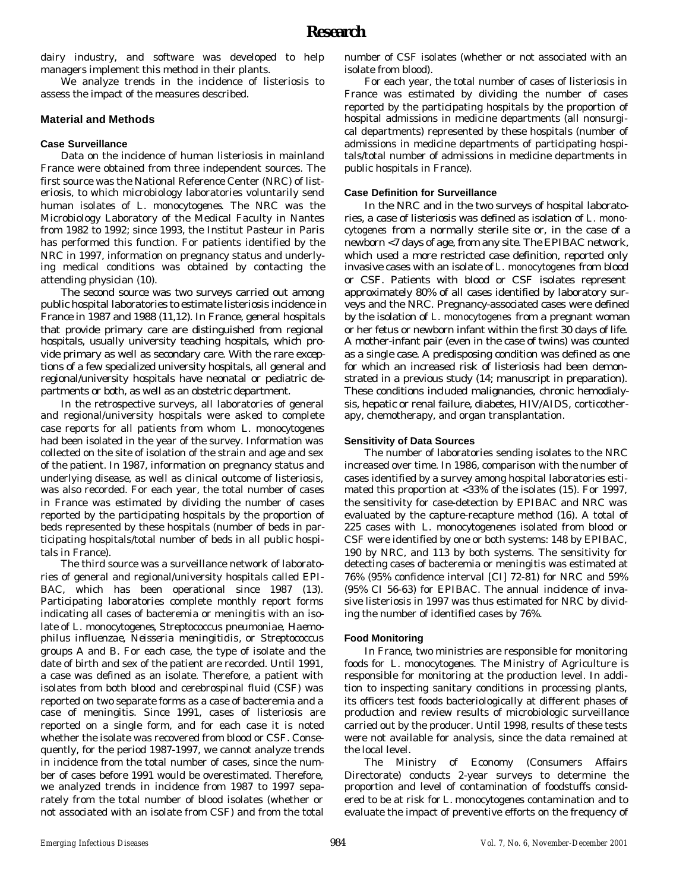dairy industry, and software was developed to help managers implement this method in their plants.

We analyze trends in the incidence of listeriosis to assess the impact of the measures described.

# **Material and Methods**

### **Case Surveillance**

Data on the incidence of human listeriosis in mainland France were obtained from three independent sources. The first source was the National Reference Center (NRC) of listeriosis, to which microbiology laboratories voluntarily send human isolates of *L. monocytogenes*. The NRC was the Microbiology Laboratory of the Medical Faculty in Nantes from 1982 to 1992; since 1993, the Institut Pasteur in Paris has performed this function. For patients identified by the NRC in 1997, information on pregnancy status and underlying medical conditions was obtained by contacting the attending physician (10).

The second source was two surveys carried out among public hospital laboratories to estimate listeriosis incidence in France in 1987 and 1988 (11,12). In France, general hospitals that provide primary care are distinguished from regional hospitals, usually university teaching hospitals, which provide primary as well as secondary care. With the rare exceptions of a few specialized university hospitals, all general and regional/university hospitals have neonatal or pediatric departments or both, as well as an obstetric department.

In the retrospective surveys, all laboratories of general and regional/university hospitals were asked to complete case reports for all patients from whom *L. monocytogenes* had been isolated in the year of the survey. Information was collected on the site of isolation of the strain and age and sex of the patient. In 1987, information on pregnancy status and underlying disease, as well as clinical outcome of listeriosis, was also recorded. For each year, the total number of cases in France was estimated by dividing the number of cases reported by the participating hospitals by the proportion of beds represented by these hospitals (number of beds in participating hospitals/total number of beds in all public hospitals in France).

The third source was a surveillance network of laboratories of general and regional/university hospitals called EPI-BAC, which has been operational since 1987 (13). Participating laboratories complete monthly report forms indicating all cases of bacteremia or meningitis with an isolate of *L. monocytogenes*, *Streptococcus pneumoniae, Haemophilus influenzae, Neisseria meningitidis*, or *Streptococcus* groups A and B. For each case, the type of isolate and the date of birth and sex of the patient are recorded. Until 1991, a case was defined as an isolate. Therefore, a patient with isolates from both blood and cerebrospinal fluid (CSF) was reported on two separate forms as a case of bacteremia and a case of meningitis. Since 1991, cases of listeriosis are reported on a single form, and for each case it is noted whether the isolate was recovered from blood or CSF. Consequently, for the period 1987-1997, we cannot analyze trends in incidence from the total number of cases, since the number of cases before 1991 would be overestimated. Therefore, we analyzed trends in incidence from 1987 to 1997 separately from the total number of blood isolates (whether or not associated with an isolate from CSF) and from the total

number of CSF isolates (whether or not associated with an isolate from blood).

For each year, the total number of cases of listeriosis in France was estimated by dividing the number of cases reported by the participating hospitals by the proportion of hospital admissions in medicine departments (all nonsurgical departments) represented by these hospitals (number of admissions in medicine departments of participating hospitals/total number of admissions in medicine departments in public hospitals in France).

### **Case Definition for Surveillance**

In the NRC and in the two surveys of hospital laboratories, a case of listeriosis was defined as isolation of *L. monocytogenes* from a normally sterile site or, in the case of a newborn <7 days of age, from any site. The EPIBAC network, which used a more restricted case definition, reported only invasive cases with an isolate of *L. monocytogenes* from blood or CSF. Patients with blood or CSF isolates represent approximately 80% of all cases identified by laboratory surveys and the NRC. Pregnancy-associated cases were defined by the isolation of *L. monocytogenes* from a pregnant woman or her fetus or newborn infant within the first 30 days of life. A mother-infant pair (even in the case of twins) was counted as a single case. A predisposing condition was defined as one for which an increased risk of listeriosis had been demonstrated in a previous study (14; manuscript in preparation). These conditions included malignancies, chronic hemodialysis, hepatic or renal failure, diabetes, HIV/AIDS, corticotherapy, chemotherapy, and organ transplantation.

#### **Sensitivity of Data Sources**

The number of laboratories sending isolates to the NRC increased over time. In 1986, comparison with the number of cases identified by a survey among hospital laboratories estimated this proportion at <33% of the isolates (15). For 1997, the sensitivity for case-detection by EPIBAC and NRC was evaluated by the capture-recapture method (16). A total of 225 cases with *L. monocytogenenes* isolated from blood or CSF were identified by one or both systems: 148 by EPIBAC, 190 by NRC, and 113 by both systems. The sensitivity for detecting cases of bacteremia or meningitis was estimated at 76% (95% confidence interval [CI] 72-81) for NRC and 59% (95% CI 56-63) for EPIBAC. The annual incidence of invasive listeriosis in 1997 was thus estimated for NRC by dividing the number of identified cases by 76%.

# **Food Monitoring**

In France, two ministries are responsible for monitoring foods for *L. monocytogenes*. The Ministry of Agriculture is responsible for monitoring at the production level. In addition to inspecting sanitary conditions in processing plants, its officers test foods bacteriologically at different phases of production and review results of microbiologic surveillance carried out by the producer. Until 1998, results of these tests were not available for analysis, since the data remained at the local level.

The Ministry of Economy (Consumers Affairs Directorate) conducts 2-year surveys to determine the proportion and level of contamination of foodstuffs considered to be at risk for *L. monocytogenes* contamination and to evaluate the impact of preventive efforts on the frequency of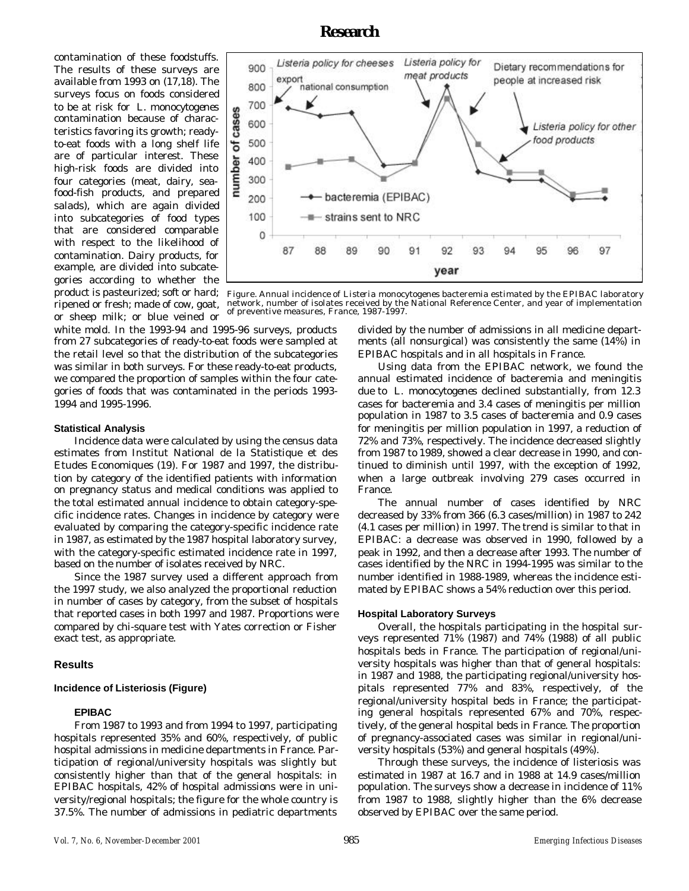contamination of these foodstuffs. The results of these surveys are available from 1993 on (17,18). The surveys focus on foods considered to be at risk for *L. monocytogenes* contamination because of characteristics favoring its growth; readyto-eat foods with a long shelf life are of particular interest. These high-risk foods are divided into four categories (meat, dairy, seafood-fish products, and prepared salads), which are again divided into subcategories of food types that are considered comparable with respect to the likelihood of contamination. Dairy products, for example, are divided into subcategories according to whether the ripened or fresh; made of cow, goat, or sheep milk; or blue veined or



product is pasteurized; soft or hard; Figure. Annual incidence of *Listeria monocytogenes* bacteremia estimated by the EPIBAC laboratory network, number of isolates received by the National Reference Center, and year of implementation of preventive measures, France, 1987-1997.

white mold. In the 1993-94 and 1995-96 surveys, products from 27 subcategories of ready-to-eat foods were sampled at the retail level so that the distribution of the subcategories was similar in both surveys. For these ready-to-eat products, we compared the proportion of samples within the four categories of foods that was contaminated in the periods 1993- 1994 and 1995-1996.

#### **Statistical Analysis**

Incidence data were calculated by using the census data estimates from Institut National de la Statistique et des Etudes Economiques (19). For 1987 and 1997, the distribution by category of the identified patients with information on pregnancy status and medical conditions was applied to the total estimated annual incidence to obtain category-specific incidence rates. Changes in incidence by category were evaluated by comparing the category-specific incidence rate in 1987, as estimated by the 1987 hospital laboratory survey, with the category-specific estimated incidence rate in 1997, based on the number of isolates received by NRC.

Since the 1987 survey used a different approach from the 1997 study, we also analyzed the proportional reduction in number of cases by category, from the subset of hospitals that reported cases in both 1997 and 1987. Proportions were compared by chi-square test with Yates correction or Fisher exact test, as appropriate.

#### **Results**

#### **Incidence of Listeriosis (Figure)**

#### **EPIBAC**

From 1987 to 1993 and from 1994 to 1997, participating hospitals represented 35% and 60%, respectively, of public hospital admissions in medicine departments in France. Participation of regional/university hospitals was slightly but consistently higher than that of the general hospitals: in EPIBAC hospitals, 42% of hospital admissions were in university/regional hospitals; the figure for the whole country is 37.5%. The number of admissions in pediatric departments

divided by the number of admissions in all medicine departments (all nonsurgical) was consistently the same (14%) in EPIBAC hospitals and in all hospitals in France.

Using data from the EPIBAC network, we found the annual estimated incidence of bacteremia and meningitis due to *L. monocytogenes* declined substantially, from 12.3 cases for bacteremia and 3.4 cases of meningitis per million population in 1987 to 3.5 cases of bacteremia and 0.9 cases for meningitis per million population in 1997, a reduction of 72% and 73%, respectively. The incidence decreased slightly from 1987 to 1989, showed a clear decrease in 1990, and continued to diminish until 1997, with the exception of 1992, when a large outbreak involving 279 cases occurred in France.

The annual number of cases identified by NRC decreased by 33% from 366 (6.3 cases/million) in 1987 to 242 (4.1 cases per million) in 1997. The trend is similar to that in EPIBAC: a decrease was observed in 1990, followed by a peak in 1992, and then a decrease after 1993. The number of cases identified by the NRC in 1994-1995 was similar to the number identified in 1988-1989, whereas the incidence estimated by EPIBAC shows a 54% reduction over this period.

#### **Hospital Laboratory Surveys**

Overall, the hospitals participating in the hospital surveys represented 71% (1987) and 74% (1988) of all public hospitals beds in France. The participation of regional/university hospitals was higher than that of general hospitals: in 1987 and 1988, the participating regional/university hospitals represented 77% and 83%, respectively, of the regional/university hospital beds in France; the participating general hospitals represented 67% and 70%, respectively, of the general hospital beds in France. The proportion of pregnancy-associated cases was similar in regional/university hospitals (53%) and general hospitals (49%).

Through these surveys, the incidence of listeriosis was estimated in 1987 at 16.7 and in 1988 at 14.9 cases/million population. The surveys show a decrease in incidence of 11% from 1987 to 1988, slightly higher than the 6% decrease observed by EPIBAC over the same period.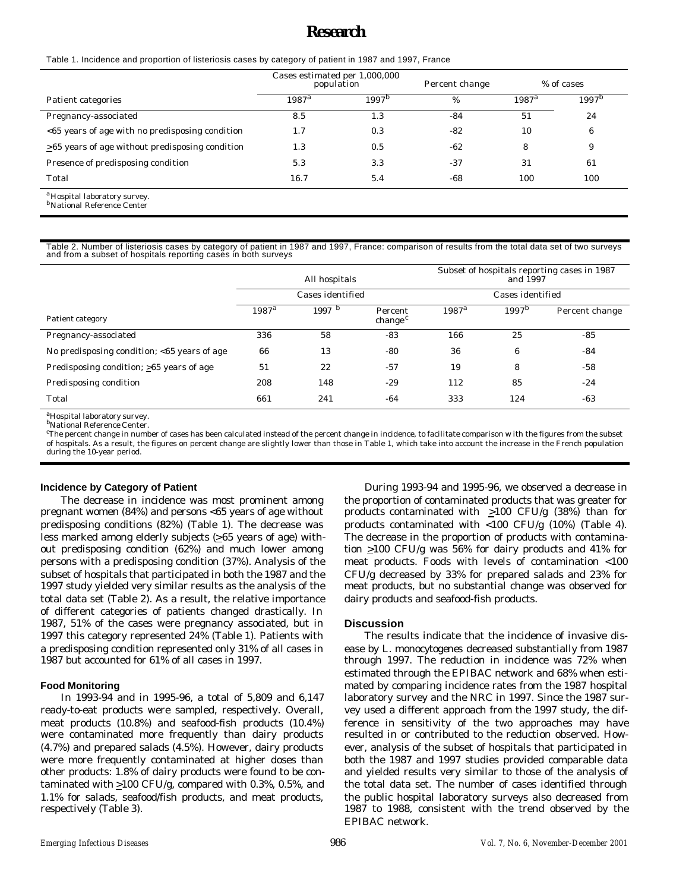#### Table 1. Incidence and proportion of listeriosis cases by category of patient in 1987 and 1997, France

|                                                       | Cases estimated per 1,000,000<br>population |                   | Percent change | % of cases     |                   |
|-------------------------------------------------------|---------------------------------------------|-------------------|----------------|----------------|-------------------|
| Patient categories                                    | $1987^{\rm a}$                              | 1997 <sup>b</sup> | %              | $1987^{\rm a}$ | 1997 <sup>b</sup> |
| Pregnancy-associated                                  | 8.5                                         | 1.3               | -84            | 51             | 24                |
| <65 years of age with no predisposing condition       | 1.7                                         | 0.3               | $-82$          | 10             | 6                 |
| $\geq$ 65 years of age without predisposing condition | 1.3                                         | 0.5               | $-62$          | 8              | 9                 |
| Presence of predisposing condition                    | 5.3                                         | 3.3               | $-37$          | 31             | 61                |
| Total                                                 | 16.7                                        | 5.4               | $-68$          | 100            | 100               |

<sup>a</sup> Hospital laboratory survey. **b**National Reference Center

# Table 2. Number of listeriosis cases by category of patient in 1987 and 1997, France: comparison of results from the total data set of two surveys and from a subset of hospitals reporting cases in both surveys

|                                             | All hospitals    |      | Subset of hospitals reporting cases in 1987<br>and 1997 |                |                   |                |
|---------------------------------------------|------------------|------|---------------------------------------------------------|----------------|-------------------|----------------|
|                                             | Cases identified |      | Cases identified                                        |                |                   |                |
| Patient category                            | 1987a            | 1997 | Percent<br>change <sup>c</sup>                          | $1987^{\rm a}$ | $1997^{\text{t}}$ | Percent change |
| Pregnancy-associated                        | 336              | 58   | $-83$                                                   | 166            | 25                | $-85$          |
| No predisposing condition; <65 years of age | 66               | 13   | $-80$                                                   | 36             | 6                 | $-84$          |
| Predisposing condition; >65 years of age    | 51               | 22   | $-57$                                                   | 19             | 8                 | $-58$          |
| Predisposing condition                      | 208              | 148  | $-29$                                                   | 112            | 85                | $-24$          |
| Total                                       | 661              | 241  | -64                                                     | 333            | 124               | $-63$          |

<sup>a</sup>Hospital laboratory survey. b<sub>National Reference</sub> Center.

<sup>o</sup>The percent change in number of cases has been calculated instead of the percent change in incidence, to facilitate comparison w ith the figures from the subset of hospitals. As a result, the figures on percent change are slightly lower than those in Table 1, which take into account the increase in the French population during the 10-year period.

#### **Incidence by Category of Patient**

The decrease in incidence was most prominent among pregnant women (84%) and persons <65 years of age without predisposing conditions (82%) (Table 1). The decrease was less marked among elderly subjects (>65 years of age) without predisposing condition (62%) and much lower among persons with a predisposing condition (37%). Analysis of the subset of hospitals that participated in both the 1987 and the 1997 study yielded very similar results as the analysis of the total data set (Table 2). As a result, the relative importance of different categories of patients changed drastically. In 1987, 51% of the cases were pregnancy associated, but in 1997 this category represented 24% (Table 1). Patients with a predisposing condition represented only 31% of all cases in 1987 but accounted for 61% of all cases in 1997.

#### **Food Monitoring**

In 1993-94 and in 1995-96, a total of 5,809 and 6,147 ready-to-eat products were sampled, respectively. Overall, meat products (10.8%) and seafood-fish products (10.4%) were contaminated more frequently than dairy products (4.7%) and prepared salads (4.5%). However, dairy products were more frequently contaminated at higher doses than other products: 1.8% of dairy products were found to be contaminated with  $\geq$ 100 CFU/g, compared with 0.3%, 0.5%, and 1.1% for salads, seafood/fish products, and meat products, respectively (Table 3).

During 1993-94 and 1995-96, we observed a decrease in the proportion of contaminated products that was greater for products contaminated with  $\geq$ 100 CFU/g (38%) than for products contaminated with <100 CFU/g (10%) (Table 4). The decrease in the proportion of products with contamination  $\geq$ 100 CFU/g was 56% for dairy products and 41% for meat products. Foods with levels of contamination <100 CFU/g decreased by 33% for prepared salads and 23% for meat products, but no substantial change was observed for dairy products and seafood-fish products.

# **Discussion**

The results indicate that the incidence of invasive disease by *L. monocytogenes* decreased substantially from 1987 through 1997. The reduction in incidence was 72% when estimated through the EPIBAC network and 68% when estimated by comparing incidence rates from the 1987 hospital laboratory survey and the NRC in 1997. Since the 1987 survey used a different approach from the 1997 study, the difference in sensitivity of the two approaches may have resulted in or contributed to the reduction observed. However, analysis of the subset of hospitals that participated in both the 1987 and 1997 studies provided comparable data and yielded results very similar to those of the analysis of the total data set. The number of cases identified through the public hospital laboratory surveys also decreased from 1987 to 1988, consistent with the trend observed by the EPIBAC network.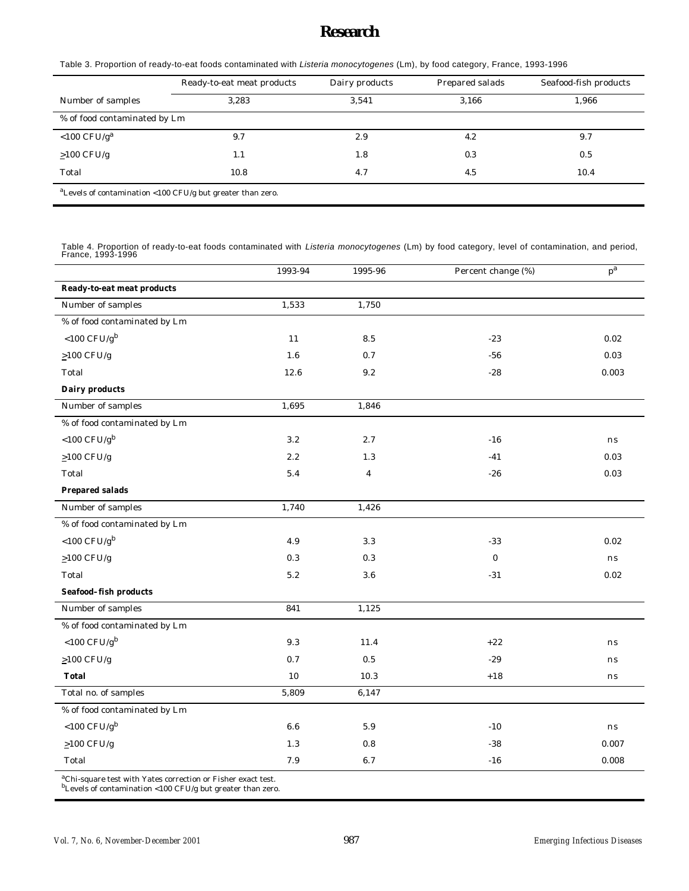| Table 3. Proportion of ready-to-eat foods contaminated with Listeria monocytogenes (Lm), by food category, France, 1993-1996 |  |  |
|------------------------------------------------------------------------------------------------------------------------------|--|--|
|------------------------------------------------------------------------------------------------------------------------------|--|--|

|                              | Ready-to-eat meat products | Dairy products | Prepared salads | Seafood-fish products |
|------------------------------|----------------------------|----------------|-----------------|-----------------------|
| Number of samples            | 3.283                      | 3.541          | 3.166           | 1,966                 |
| % of food contaminated by Lm |                            |                |                 |                       |
| $<$ 100 CFU/g <sup>a</sup>   | 9.7                        | 2.9            | 4.2             | 9.7                   |
| $\geq$ 100 CFU/g             | 1.1                        | 1.8            | 0.3             | 0.5                   |
| Total                        | 10.8                       | 4.7            | 4.5             | 10.4                  |

Table 4. Proportion of ready-to-eat foods contaminated with *Listeria monocytogenes* (Lm) by food category, level of contamination, and period, France, 1993-1996

|                                                                          | 1993-94 | 1995-96        | Percent change (%) | $p^a$ |
|--------------------------------------------------------------------------|---------|----------------|--------------------|-------|
| <b>Ready-to-eat meat products</b>                                        |         |                |                    |       |
| Number of samples                                                        | 1,533   | 1,750          |                    |       |
| % of food contaminated by Lm                                             |         |                |                    |       |
| $<$ 100 CFU/g <sup>b</sup>                                               | 11      | 8.5            | $-23$              | 0.02  |
| $\geq$ 100 CFU/g                                                         | 1.6     | 0.7            | $-56$              | 0.03  |
| Total                                                                    | 12.6    | 9.2            | $-28$              | 0.003 |
| <b>Dairy products</b>                                                    |         |                |                    |       |
| Number of samples                                                        | 1,695   | 1,846          |                    |       |
| % of food contaminated by Lm                                             |         |                |                    |       |
| $<$ 100 CFU/g <sup>b</sup>                                               | 3.2     | 2.7            | $-16$              | ns    |
| $\geq$ 100 CFU/g                                                         | 2.2     | 1.3            | $-41$              | 0.03  |
| Total                                                                    | 5.4     | $\overline{4}$ | $-26$              | 0.03  |
| <b>Prepared salads</b>                                                   |         |                |                    |       |
| Number of samples                                                        | 1,740   | 1,426          |                    |       |
| % of food contaminated by Lm                                             |         |                |                    |       |
| $<$ 100 CFU/g <sup>b</sup>                                               | 4.9     | 3.3            | $-33$              | 0.02  |
| $\geq$ 100 CFU/g                                                         | 0.3     | 0.3            | $\mathbf{O}$       | ns    |
| Total                                                                    | 5.2     | 3.6            | $-31$              | 0.02  |
| Seafood-fish products                                                    |         |                |                    |       |
| Number of samples                                                        | 841     | 1,125          |                    |       |
| % of food contaminated by Lm                                             |         |                |                    |       |
| $<$ 100 CFU/g <sup>b</sup>                                               | 9.3     | 11.4           | $+22$              | ns    |
| $\geq$ 100 CFU/g                                                         | 0.7     | 0.5            | $-29$              | ns    |
| <b>Total</b>                                                             | 10      | 10.3           | $+ \, 1 \, 8$      | ns    |
| Total no. of samples                                                     | 5,809   | 6.147          |                    |       |
| $\%$ of food contaminated by $\rm Lm$                                    |         |                |                    |       |
| $<$ 100 CFU/g <sup>b</sup>                                               | 6.6     | $5.9\,$        | $-10$              | ns    |
| $\geq$ 100 CFU/g                                                         | 1.3     | 0.8            | $-38$              | 0.007 |
| Total                                                                    | 7.9     | 6.7            | $-16$              | 0.008 |
| <sup>a</sup> Chi-square test with Yates correction or Fisher exact test. |         |                |                    |       |

<sup>b</sup>Levels of contamination <100 CFU/g but greater than zero.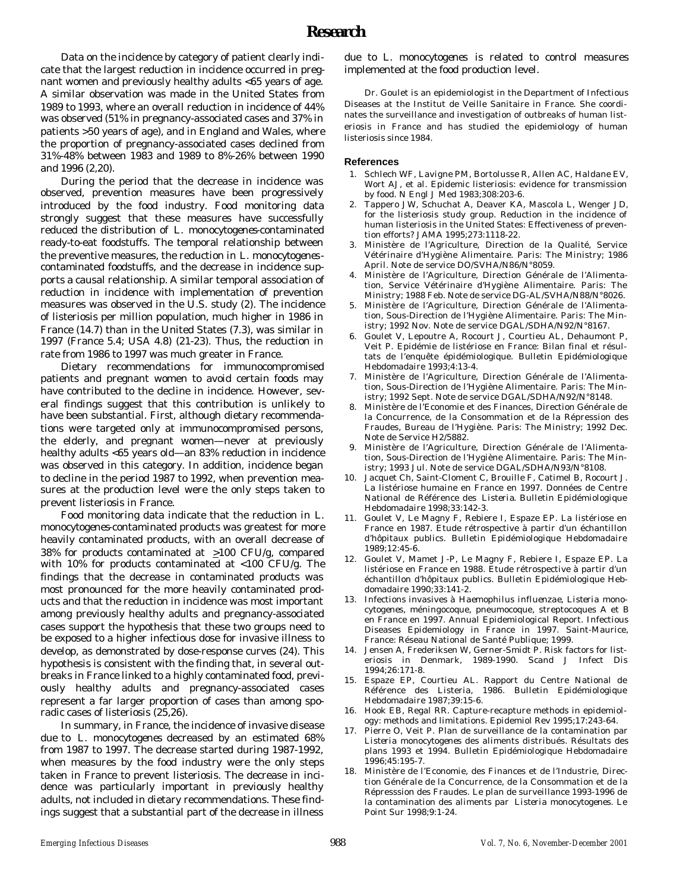Data on the incidence by category of patient clearly indicate that the largest reduction in incidence occurred in pregnant women and previously healthy adults <65 years of age. A similar observation was made in the United States from 1989 to 1993, where an overall reduction in incidence of 44% was observed (51% in pregnancy-associated cases and 37% in patients >50 years of age), and in England and Wales, where the proportion of pregnancy-associated cases declined from 31%-48% between 1983 and 1989 to 8%-26% between 1990 and 1996 (2,20).

During the period that the decrease in incidence was observed, prevention measures have been progressively introduced by the food industry. Food monitoring data strongly suggest that these measures have successfully reduced the distribution of *L. monocytogenes*-contaminated ready-to-eat foodstuffs. The temporal relationship between the preventive measures, the reduction in *L. monocytogenes*contaminated foodstuffs, and the decrease in incidence supports a causal relationship. A similar temporal association of reduction in incidence with implementation of prevention measures was observed in the U.S. study (2). The incidence of listeriosis per million population, much higher in 1986 in France (14.7) than in the United States (7.3), was similar in 1997 (France 5.4; USA 4.8) (21-23). Thus, the reduction in rate from 1986 to 1997 was much greater in France.

Dietary recommendations for immunocompromised patients and pregnant women to avoid certain foods may have contributed to the decline in incidence. However, several findings suggest that this contribution is unlikely to have been substantial. First, although dietary recommendations were targeted only at immunocompromised persons, the elderly, and pregnant women—never at previously healthy adults <65 years old—an 83% reduction in incidence was observed in this category. In addition, incidence began to decline in the period 1987 to 1992, when prevention measures at the production level were the only steps taken to prevent listeriosis in France.

Food monitoring data indicate that the reduction in *L. monocytogenes*-contaminated products was greatest for more heavily contaminated products, with an overall decrease of 38% for products contaminated at >100 CFU/g, compared with 10% for products contaminated at <100 CFU/g. The findings that the decrease in contaminated products was most pronounced for the more heavily contaminated products and that the reduction in incidence was most important among previously healthy adults and pregnancy-associated cases support the hypothesis that these two groups need to be exposed to a higher infectious dose for invasive illness to develop, as demonstrated by dose-response curves (24). This hypothesis is consistent with the finding that, in several outbreaks in France linked to a highly contaminated food, previously healthy adults and pregnancy-associated cases represent a far larger proportion of cases than among sporadic cases of listeriosis (25,26).

In summary, in France, the incidence of invasive disease due to *L. monocytogenes* decreased by an estimated 68% from 1987 to 1997. The decrease started during 1987-1992, when measures by the food industry were the only steps taken in France to prevent listeriosis. The decrease in incidence was particularly important in previously healthy adults, not included in dietary recommendations. These findings suggest that a substantial part of the decrease in illness

due to *L. monocytogenes* is related to control measures implemented at the food production level.

Dr. Goulet is an epidemiologist in the Department of Infectious Diseases at the Institut de Veille Sanitaire in France. She coordinates the surveillance and investigation of outbreaks of human listeriosis in France and has studied the epidemiology of human listeriosis since 1984.

#### **References**

- 1. Schlech WF, Lavigne PM, Bortolusse R, Allen AC, Haldane EV, Wort AJ, et al. Epidemic listeriosis: evidence for transmission by food. N Engl J Med 1983;308:203-6.
- Tappero JW, Schuchat A, Deaver KA, Mascola L, Wenger JD, for the listeriosis study group. Reduction in the incidence of human listeriosis in the United States: Effectiveness of prevention efforts? JAMA 1995;273:1118-22.
- 3. Ministère de l'Agriculture, Direction de la Qualité, Service Vétérinaire d'Hygiène Alimentaire. Paris: The Ministry; 1986 April. Note de service DO/SVHA/N86/N°8059.
- 4. Ministère de l'Agriculture, Direction Générale de l'Alimentation, Service Vétérinaire d'Hygiène Alimentaire. Paris: The Ministry; 1988 Feb. Note de service DG-AL/SVHA/N88/N°8026.
- 5. Ministère de l'Agriculture, Direction Générale de l'Alimentation, Sous-Direction de l'Hygiène Alimentaire. Paris: The Ministry; 1992 Nov. Note de service DGAL/SDHA/N92/N°8167.
- 6. Goulet V, Lepoutre A, Rocourt J, Courtieu AL, Dehaumont P, Veit P. Epidémie de listériose en France: Bilan final et résultats de l'enquête épidémiologique. Bulletin Epidémiologique Hebdomadaire 1993;4:13-4.
- 7. Ministère de l'Agriculture, Direction Générale de l'Alimentation, Sous-Direction de l'Hygiène Alimentaire. Paris: The Ministry; 1992 Sept. Note de service DGAL/SDHA/N92/N°8148.
- 8. Ministère de l'Economie et des Finances, Direction Générale de la Concurrence, de la Consommation et de la Répression des Fraudes, Bureau de l'Hygiène. Paris: The Ministry; 1992 Dec. Note de Service H2/5882.
- 9. Ministère de l'Agriculture, Direction Générale de l'Alimentation, Sous-Direction de l'Hygiène Alimentaire. Paris: The Ministry; 1993 Jul. Note de service DGAL/SDHA/N93/N°8108.
- Jacquet Ch, Saint-Cloment C, Brouille F, Catimel B, Rocourt J. La listériose humaine en France en 1997. Données de Centre National de Référence des *Listeria*. Bulletin Epidémiologique Hebdomadaire 1998;33:142-3.
- 11. Goulet V, Le Magny F, Rebiere I, Espaze EP. La listériose en France en 1987. Etude rétrospective à partir d'un échantillon d'hôpitaux publics. Bulletin Epidémiologique Hebdomadaire 1989;12:45-6.
- 12. Goulet V, Mamet J-P, Le Magny F, Rebiere I, Espaze EP. La listériose en France en 1988. Etude rétrospective à partir d'un échantillon d'hôpitaux publics. Bulletin Epidémiologique Hebdomadaire 1990;33:141-2.
- 13. Infections invasives à *Haemophilus influenzae*, *Listeria monocytogenes*, méningocoque, pneumocoque, streptocoques A et B en France en 1997. Annual Epidemiological Report. Infectious Diseases Epidemiology in France in 1997. Saint-Maurice, France: Réseau National de Santé Publique; 1999.
- 14. Jensen A, Frederiksen W, Gerner-Smidt P. Risk factors for listeriosis in Denmark, 1989-1990. Scand J Infect Dis 1994;26:171-8.
- 15. Espaze EP, Courtieu AL. Rapport du Centre National de Référence des Listeria, 1986. Bulletin Epidémiologique Hebdomadaire 1987;39:15-6.
- 16. Hook EB, Regal RR. Capture-recapture methods in epidemiology: methods and limitations. Epidemiol Rev 1995;17:243-64.
- 17. Pierre O, Veit P. Plan de surveillance de la contamination par *Listeria monocytogenes* des aliments distribués. Résultats des plans 1993 et 1994. Bulletin Epidémiologique Hebdomadaire 1996;45:195-7.
- 18. Ministère de l'Economie, des Finances et de l'Industrie, Direction Générale de la Concurrence, de la Consommation et de la Répresssion des Fraudes. Le plan de surveillance 1993-1996 de la contamination des aliments par *Listeria monocytogenes*. Le Point Sur 1998;9:1-24.